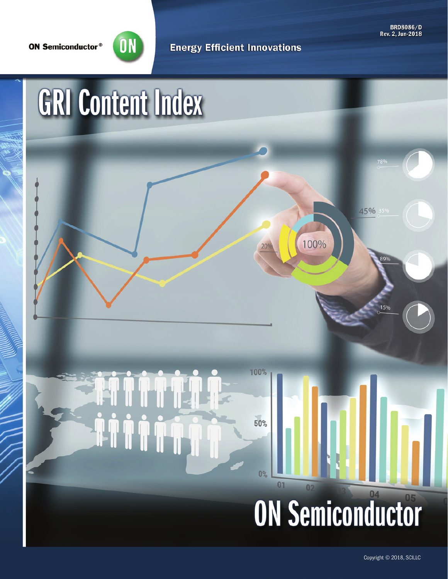**ON Semiconductor®** 



**Energy Efficient Innovations** 

**BRD8086/D** Rev. 2. Jun-2018

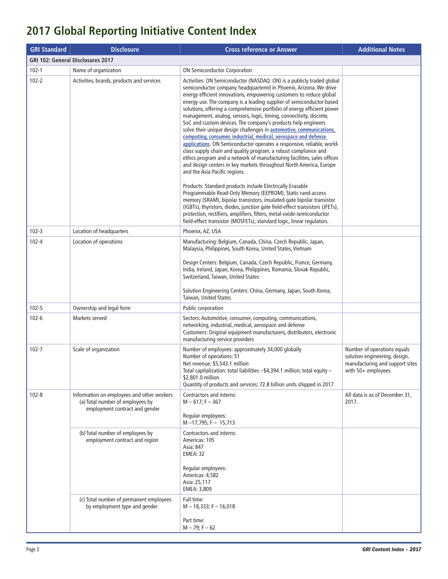## **2017 Global Reporting Initiative Content Index**

| <b>GRI Standard</b>                      | <b>Disclosure</b>                                                                                                | <b>Cross reference or Answer</b>                                                                                                                                                                                                                                                                                                                                                                                                                                                                                                                                                                                                                                                                                                                                                                                                                                                                                                                                                              | <b>Additional Notes</b>                                                                                                 |
|------------------------------------------|------------------------------------------------------------------------------------------------------------------|-----------------------------------------------------------------------------------------------------------------------------------------------------------------------------------------------------------------------------------------------------------------------------------------------------------------------------------------------------------------------------------------------------------------------------------------------------------------------------------------------------------------------------------------------------------------------------------------------------------------------------------------------------------------------------------------------------------------------------------------------------------------------------------------------------------------------------------------------------------------------------------------------------------------------------------------------------------------------------------------------|-------------------------------------------------------------------------------------------------------------------------|
| <b>GRI 102: General Disclosures 2017</b> |                                                                                                                  |                                                                                                                                                                                                                                                                                                                                                                                                                                                                                                                                                                                                                                                                                                                                                                                                                                                                                                                                                                                               |                                                                                                                         |
| $102 - 1$                                | Name of organization                                                                                             | <b>ON Semiconductor Corporation</b>                                                                                                                                                                                                                                                                                                                                                                                                                                                                                                                                                                                                                                                                                                                                                                                                                                                                                                                                                           |                                                                                                                         |
| $102 - 2$                                | Activities, brands, products and services                                                                        | Activities: ON Semiconductor (NASDAQ: ON) is a publicly traded global<br>semiconductor company headquartered in Phoenix, Arizona. We drive<br>energy efficient innovations, empowering customers to reduce global<br>energy use. The company is a leading supplier of semiconductor-based<br>solutions, offering a comprehensive portfolio of energy efficient power<br>management, analog, sensors, logic, timing, connectivity, discrete,<br>SoC and custom devices. The company's products help engineers<br>solve their unique design challenges in <b>automotive</b> , communications,<br>computing, consumer, industrial, medical, aerospace and defense<br>applications. ON Semiconductor operates a responsive, reliable, world-<br>class supply chain and quality program, a robust compliance and<br>ethics program and a network of manufacturing facilities, sales offices<br>and design centers in key markets throughout North America, Europe<br>and the Asia Pacific regions. |                                                                                                                         |
|                                          |                                                                                                                  | Products: Standard products include Electrically Erasable<br>Programmable Read-Only Memory (EEPROM), Static rand-access<br>memory (SRAM), bipolar transistors, insulated-gate bipolar transistor<br>(IGBTs), thyristors, diodes, junction gate field-effect transistors (JFETs),<br>protection, rectifiers, amplifiers, filters, metal-oxide-semiconductor<br>field-effect transistor (MOSFETs), standard logic, linear regulators.                                                                                                                                                                                                                                                                                                                                                                                                                                                                                                                                                           |                                                                                                                         |
| $102 - 3$                                | Location of headquarters                                                                                         | Phoenix, AZ, USA                                                                                                                                                                                                                                                                                                                                                                                                                                                                                                                                                                                                                                                                                                                                                                                                                                                                                                                                                                              |                                                                                                                         |
| $102 - 4$                                | Location of operations                                                                                           | Manufacturing: Belgium, Canada, China, Czech Republic, Japan,<br>Malaysia, Philippines, South Korea, United States, Vietnam<br>Design Centers: Belgium, Canada, Czech Republic, France, Germany,<br>India, Ireland, Japan, Korea, Philippines, Romania, Slovak Republic,<br>Switzerland, Taiwan, United States<br>Solution Engineering Centers: China, Germany, Japan, South Korea,<br>Taiwan, United States                                                                                                                                                                                                                                                                                                                                                                                                                                                                                                                                                                                  |                                                                                                                         |
| $102 - 5$                                | Ownership and legal form                                                                                         | Public corporation                                                                                                                                                                                                                                                                                                                                                                                                                                                                                                                                                                                                                                                                                                                                                                                                                                                                                                                                                                            |                                                                                                                         |
| $102 - 6$                                | Markets served                                                                                                   | Sectors: Automotive, consumer, computing, communications,<br>networking, industrial, medical, aerospace and defense<br>Customers: Original equipment manufacturers, distributors, electronic<br>manufacturing service providers                                                                                                                                                                                                                                                                                                                                                                                                                                                                                                                                                                                                                                                                                                                                                               |                                                                                                                         |
| $102 - 7$                                | Scale of organization                                                                                            | Number of employees: approximately 34,000 globally<br>Number of operations: 51<br>Net revenue: \$5,543.1 million<br>Total capitalization: total liabilities - \$4,394.1 million; total equity -<br>\$2,801.0 million<br>Quantity of products and services: 72.8 billion units shipped in 2017                                                                                                                                                                                                                                                                                                                                                                                                                                                                                                                                                                                                                                                                                                 | Number of operations equals<br>solution engineering, design,<br>manufacturing and support sites<br>with $50+$ employees |
| $102 - 8$                                | Information on employees and other workers<br>(a) Total number of employees by<br>employment contract and gender | Contractors and interns:<br>$M - 617$ : F - 367<br>Regular employees:<br>$M - 17,795; F - 15,713$                                                                                                                                                                                                                                                                                                                                                                                                                                                                                                                                                                                                                                                                                                                                                                                                                                                                                             | All data is as of December 31,<br>2017.                                                                                 |
|                                          | (b) Total number of employees by<br>employment contract and region                                               | <b>Contractors and interns:</b><br>Americas: 105<br>Asia: 847<br><b>EMEA: 32</b><br>Regular employees:<br>Americas: 4,582<br>Asia: 25,117<br>EMEA: 3,809                                                                                                                                                                                                                                                                                                                                                                                                                                                                                                                                                                                                                                                                                                                                                                                                                                      |                                                                                                                         |
|                                          | (c) Total number of permanent employees<br>by employment type and gender                                         | Full time:<br>$M - 18,333; F - 16,018$<br>Part time:<br>$M - 79$ ; F $-62$                                                                                                                                                                                                                                                                                                                                                                                                                                                                                                                                                                                                                                                                                                                                                                                                                                                                                                                    |                                                                                                                         |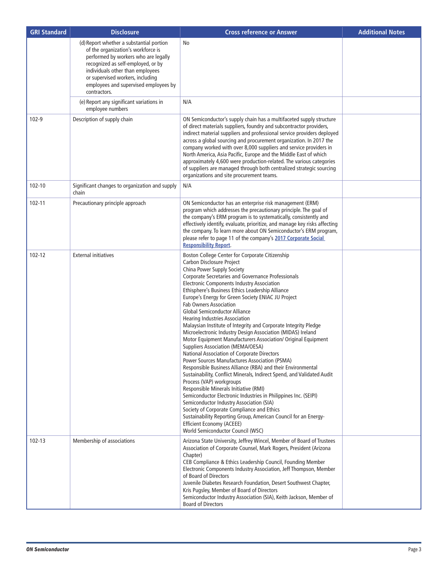| <b>GRI Standard</b> | <b>Disclosure</b>                                                                                                                                                                                                                                                                             | <b>Cross reference or Answer</b>                                                                                                                                                                                                                                                                                                                                                                                                                                                                                                                                                                                                                                                                                                                                                                                                                                                                                                                                                                                                                                                                                                                                                                                                                                                                                 | <b>Additional Notes</b> |
|---------------------|-----------------------------------------------------------------------------------------------------------------------------------------------------------------------------------------------------------------------------------------------------------------------------------------------|------------------------------------------------------------------------------------------------------------------------------------------------------------------------------------------------------------------------------------------------------------------------------------------------------------------------------------------------------------------------------------------------------------------------------------------------------------------------------------------------------------------------------------------------------------------------------------------------------------------------------------------------------------------------------------------------------------------------------------------------------------------------------------------------------------------------------------------------------------------------------------------------------------------------------------------------------------------------------------------------------------------------------------------------------------------------------------------------------------------------------------------------------------------------------------------------------------------------------------------------------------------------------------------------------------------|-------------------------|
|                     | (d) Report whether a substantial portion<br>of the organization's workforce is<br>performed by workers who are legally<br>recognized as self-employed, or by<br>individuals other than employees<br>or supervised workers, including<br>employees and supervised employees by<br>contractors. | No                                                                                                                                                                                                                                                                                                                                                                                                                                                                                                                                                                                                                                                                                                                                                                                                                                                                                                                                                                                                                                                                                                                                                                                                                                                                                                               |                         |
|                     | (e) Report any significant variations in<br>employee numbers                                                                                                                                                                                                                                  | N/A                                                                                                                                                                                                                                                                                                                                                                                                                                                                                                                                                                                                                                                                                                                                                                                                                                                                                                                                                                                                                                                                                                                                                                                                                                                                                                              |                         |
| 102-9               | Description of supply chain                                                                                                                                                                                                                                                                   | ON Semiconductor's supply chain has a multifaceted supply structure<br>of direct materials suppliers, foundry and subcontractor providers,<br>indirect material suppliers and professional service providers deployed<br>across a global sourcing and procurement organization. In 2017 the<br>company worked with over 8,000 suppliers and service providers in<br>North America, Asia Pacific, Europe and the Middle East of which<br>approximately 4,600 were production-related. The various categories<br>of suppliers are managed through both centralized strategic sourcing<br>organizations and site procurement teams.                                                                                                                                                                                                                                                                                                                                                                                                                                                                                                                                                                                                                                                                                 |                         |
| 102-10              | Significant changes to organization and supply<br>chain                                                                                                                                                                                                                                       | N/A                                                                                                                                                                                                                                                                                                                                                                                                                                                                                                                                                                                                                                                                                                                                                                                                                                                                                                                                                                                                                                                                                                                                                                                                                                                                                                              |                         |
| 102-11              | Precautionary principle approach                                                                                                                                                                                                                                                              | ON Semiconductor has an enterprise risk management (ERM)<br>program which addresses the precautionary principle. The goal of<br>the company's ERM program is to systematically, consistently and<br>effectively identify, evaluate, prioritize, and manage key risks affecting<br>the company. To learn more about ON Semiconductor's ERM program,<br>please refer to page 11 of the company's 2017 Corporate Social<br><b>Responsibility Report.</b>                                                                                                                                                                                                                                                                                                                                                                                                                                                                                                                                                                                                                                                                                                                                                                                                                                                            |                         |
| 102-12              | <b>External initiatives</b>                                                                                                                                                                                                                                                                   | Boston College Center for Corporate Citizenship<br>Carbon Disclosure Project<br>China Power Supply Society<br>Corporate Secretaries and Governance Professionals<br><b>Electronic Components Industry Association</b><br>Ethisphere's Business Ethics Leadership Alliance<br>Europe's Energy for Green Society ENIAC JU Project<br><b>Fab Owners Association</b><br><b>Global Semiconductor Alliance</b><br><b>Hearing Industries Association</b><br>Malaysian Institute of Integrity and Corporate Integrity Pledge<br>Microelectronic Industry Design Association (MIDAS) Ireland<br>Motor Equipment Manufacturers Association/ Original Equipment<br><b>Suppliers Association (MEMA/OESA)</b><br>National Association of Corporate Directors<br>Power Sources Manufactures Association (PSMA)<br>Responsible Business Alliance (RBA) and their Environmental<br>Sustainability, Conflict Minerals, Indirect Spend, and Validated Audit<br>Process (VAP) workgroups<br>Responsible Minerals Initiative (RMI)<br>Semiconductor Electronic Industries in Philippines Inc. (SEIPI)<br>Semiconductor Industry Association (SIA)<br>Society of Corporate Compliance and Ethics<br>Sustainability Reporting Group, American Council for an Energy-<br>Efficient Economy (ACEEE)<br>World Semiconductor Council (WSC) |                         |
| $102 - 13$          | Membership of associations                                                                                                                                                                                                                                                                    | Arizona State University, Jeffrey Wincel, Member of Board of Trustees<br>Association of Corporate Counsel, Mark Rogers, President (Arizona<br>Chapter)<br>CEB Compliance & Ethics Leadership Council, Founding Member<br>Electronic Components Industry Association, Jeff Thompson, Member<br>of Board of Directors<br>Juvenile Diabetes Research Foundation, Desert Southwest Chapter,<br>Kris Pugsley, Member of Board of Directors<br>Semiconductor Industry Association (SIA), Keith Jackson, Member of<br><b>Board of Directors</b>                                                                                                                                                                                                                                                                                                                                                                                                                                                                                                                                                                                                                                                                                                                                                                         |                         |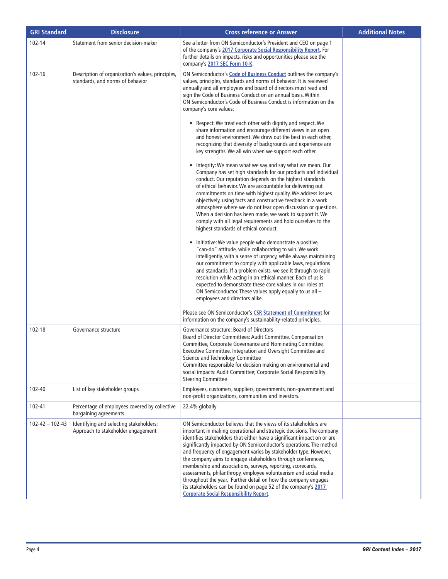| <b>GRI Standard</b>   | <b>Disclosure</b>                                                                     | <b>Cross reference or Answer</b>                                                                                                                                                                                                                                                                                                                                                                                                                                                                                                                                                                                                                                                                                                                                                                                                                                                                                                                                                                                                                                                                                                                                                                                                                                                                                                                                                                                                                                                                                                                                                                                                                                                                                                                                                                                                                                                                                                                      | <b>Additional Notes</b> |
|-----------------------|---------------------------------------------------------------------------------------|-------------------------------------------------------------------------------------------------------------------------------------------------------------------------------------------------------------------------------------------------------------------------------------------------------------------------------------------------------------------------------------------------------------------------------------------------------------------------------------------------------------------------------------------------------------------------------------------------------------------------------------------------------------------------------------------------------------------------------------------------------------------------------------------------------------------------------------------------------------------------------------------------------------------------------------------------------------------------------------------------------------------------------------------------------------------------------------------------------------------------------------------------------------------------------------------------------------------------------------------------------------------------------------------------------------------------------------------------------------------------------------------------------------------------------------------------------------------------------------------------------------------------------------------------------------------------------------------------------------------------------------------------------------------------------------------------------------------------------------------------------------------------------------------------------------------------------------------------------------------------------------------------------------------------------------------------------|-------------------------|
| 102-14                | Statement from senior decision-maker                                                  | See a letter from ON Semiconductor's President and CEO on page 1<br>of the company's 2017 Corporate Social Responsibility Report. For<br>further details on impacts, risks and opportunities please see the<br>company's 2017 SEC Form 10-K.                                                                                                                                                                                                                                                                                                                                                                                                                                                                                                                                                                                                                                                                                                                                                                                                                                                                                                                                                                                                                                                                                                                                                                                                                                                                                                                                                                                                                                                                                                                                                                                                                                                                                                          |                         |
| $102 - 16$            | Description of organization's values, principles,<br>standards, and norms of behavior | ON Semiconductor's Code of Business Conduct outlines the company's<br>values, principles, standards and norms of behavior. It is reviewed<br>annually and all employees and board of directors must read and<br>sign the Code of Business Conduct on an annual basis. Within<br>ON Semiconductor's Code of Business Conduct is information on the<br>company's core values:<br>• Respect: We treat each other with dignity and respect. We<br>share information and encourage different views in an open<br>and honest environment. We draw out the best in each other,<br>recognizing that diversity of backgrounds and experience are<br>key strengths. We all win when we support each other.<br>• Integrity: We mean what we say and say what we mean. Our<br>Company has set high standards for our products and individual<br>conduct. Our reputation depends on the highest standards<br>of ethical behavior. We are accountable for delivering out<br>commitments on time with highest quality. We address issues<br>objectively, using facts and constructive feedback in a work<br>atmosphere where we do not fear open discussion or questions.<br>When a decision has been made, we work to support it. We<br>comply with all legal requirements and hold ourselves to the<br>highest standards of ethical conduct.<br>• Initiative: We value people who demonstrate a positive,<br>"can-do" attitude, while collaborating to win. We work<br>intelligently, with a sense of urgency, while always maintaining<br>our commitment to comply with applicable laws, regulations<br>and standards. If a problem exists, we see it through to rapid<br>resolution while acting in an ethical manner. Each of us is<br>expected to demonstrate these core values in our roles at<br>ON Semiconductor. These values apply equally to us all -<br>employees and directors alike.<br>Please see ON Semiconductor's CSR Statement of Commitment for |                         |
|                       |                                                                                       | information on the company's sustainability-related principles.                                                                                                                                                                                                                                                                                                                                                                                                                                                                                                                                                                                                                                                                                                                                                                                                                                                                                                                                                                                                                                                                                                                                                                                                                                                                                                                                                                                                                                                                                                                                                                                                                                                                                                                                                                                                                                                                                       |                         |
| 102-18                | Governance structure                                                                  | Governance structure: Board of Directors<br>Board of Director Committees: Audit Committee, Compensation<br>Committee, Corporate Governance and Nominating Committee,<br>Executive Committee, Integration and Oversight Committee and<br>Science and Technology Committee<br>Committee responsible for decision making on environmental and<br>social impacts: Audit Committee; Corporate Social Responsibility<br><b>Steering Committee</b>                                                                                                                                                                                                                                                                                                                                                                                                                                                                                                                                                                                                                                                                                                                                                                                                                                                                                                                                                                                                                                                                                                                                                                                                                                                                                                                                                                                                                                                                                                           |                         |
| 102-40                | List of key stakeholder groups                                                        | Employees, customers, suppliers, governments, non-government and<br>non-profit organizations, communities and investors.                                                                                                                                                                                                                                                                                                                                                                                                                                                                                                                                                                                                                                                                                                                                                                                                                                                                                                                                                                                                                                                                                                                                                                                                                                                                                                                                                                                                                                                                                                                                                                                                                                                                                                                                                                                                                              |                         |
| 102-41                | Percentage of employees covered by collective<br>bargaining agreements                | 22.4% globally                                                                                                                                                                                                                                                                                                                                                                                                                                                                                                                                                                                                                                                                                                                                                                                                                                                                                                                                                                                                                                                                                                                                                                                                                                                                                                                                                                                                                                                                                                                                                                                                                                                                                                                                                                                                                                                                                                                                        |                         |
| $102 - 42 - 102 - 43$ | Identifying and selecting stakeholders;<br>Approach to stakeholder engagement         | ON Semiconductor believes that the views of its stakeholders are<br>important in making operational and strategic decisions. The company<br>identifies stakeholders that either have a significant impact on or are<br>significantly impacted by ON Semiconductor's operations. The method<br>and frequency of engagement varies by stakeholder type. However,<br>the company aims to engage stakeholders through conferences,<br>membership and associations, surveys, reporting, scorecards,<br>assessments, philanthropy, employee volunteerism and social media<br>throughout the year. Further detail on how the company engages<br>its stakeholders can be found on page 52 of the company's 2017<br><b>Corporate Social Responsibility Report.</b>                                                                                                                                                                                                                                                                                                                                                                                                                                                                                                                                                                                                                                                                                                                                                                                                                                                                                                                                                                                                                                                                                                                                                                                             |                         |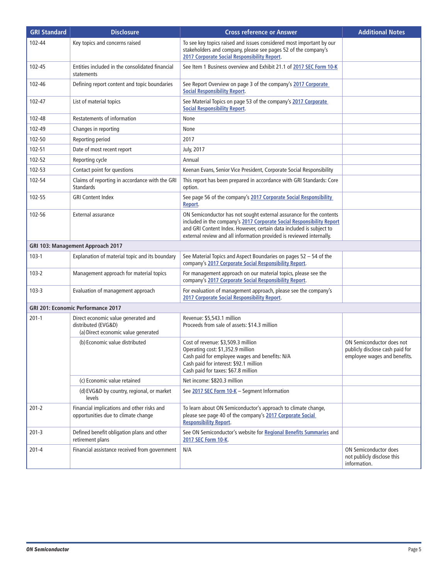| <b>GRI Standard</b> | <b>Disclosure</b>                                                                                 | <b>Cross reference or Answer</b>                                                                                                                                                                                                                                                            | <b>Additional Notes</b>                                                                      |
|---------------------|---------------------------------------------------------------------------------------------------|---------------------------------------------------------------------------------------------------------------------------------------------------------------------------------------------------------------------------------------------------------------------------------------------|----------------------------------------------------------------------------------------------|
| 102-44              | Key topics and concerns raised                                                                    | To see key topics raised and issues considered most important by our<br>stakeholders and company, please see pages 52 of the company's<br>2017 Corporate Social Responsibility Report.                                                                                                      |                                                                                              |
| 102-45              | Entities included in the consolidated financial<br>statements                                     | See Item 1 Business overview and Exhibit 21.1 of 2017 SEC Form 10-K                                                                                                                                                                                                                         |                                                                                              |
| 102-46              | Defining report content and topic boundaries                                                      | See Report Overview on page 3 of the company's 2017 Corporate<br><b>Social Responsibility Report.</b>                                                                                                                                                                                       |                                                                                              |
| 102-47              | List of material topics                                                                           | See Material Topics on page 53 of the company's 2017 Corporate<br><b>Social Responsibility Report.</b>                                                                                                                                                                                      |                                                                                              |
| 102-48              | Restatements of information                                                                       | None                                                                                                                                                                                                                                                                                        |                                                                                              |
| 102-49              | Changes in reporting                                                                              | None                                                                                                                                                                                                                                                                                        |                                                                                              |
| 102-50              | Reporting period                                                                                  | 2017                                                                                                                                                                                                                                                                                        |                                                                                              |
| 102-51              | Date of most recent report                                                                        | July, 2017                                                                                                                                                                                                                                                                                  |                                                                                              |
| 102-52              | Reporting cycle                                                                                   | Annual                                                                                                                                                                                                                                                                                      |                                                                                              |
| 102-53              | Contact point for questions                                                                       | Keenan Evans, Senior Vice President, Corporate Social Responsibility                                                                                                                                                                                                                        |                                                                                              |
| 102-54              | Claims of reporting in accordance with the GRI<br><b>Standards</b>                                | This report has been prepared in accordance with GRI Standards: Core<br>option.                                                                                                                                                                                                             |                                                                                              |
| 102-55              | <b>GRI Content Index</b>                                                                          | See page 56 of the company's 2017 Corporate Social Responsibility<br>Report.                                                                                                                                                                                                                |                                                                                              |
| 102-56              | External assurance                                                                                | ON Semiconductor has not sought external assurance for the contents<br>included in the company's 2017 Corporate Social Responsibility Report<br>and GRI Content Index. However, certain data included is subject to<br>external review and all information provided is reviewed internally. |                                                                                              |
|                     | GRI 103: Management Approach 2017                                                                 |                                                                                                                                                                                                                                                                                             |                                                                                              |
| $103 - 1$           | Explanation of material topic and its boundary                                                    | See Material Topics and Aspect Boundaries on pages 52 - 54 of the<br>company's 2017 Corporate Social Responsibility Report.                                                                                                                                                                 |                                                                                              |
| $103 - 2$           | Management approach for material topics                                                           | For management approach on our material topics, please see the<br>company's 2017 Corporate Social Responsibility Report.                                                                                                                                                                    |                                                                                              |
| $103 - 3$           | Evaluation of management approach                                                                 | For evaluation of management approach, please see the company's<br>2017 Corporate Social Responsibility Report.                                                                                                                                                                             |                                                                                              |
|                     | GRI 201: Economic Performance 2017                                                                |                                                                                                                                                                                                                                                                                             |                                                                                              |
| $201-1$             | Direct economic value generated and<br>distributed (EVG&D)<br>(a) Direct economic value generated | Revenue: \$5,543.1 million<br>Proceeds from sale of assets: \$14.3 million                                                                                                                                                                                                                  |                                                                                              |
|                     | (b) Economic value distributed                                                                    | Cost of revenue: \$3,509.3 million<br>Operating cost: \$1,352.9 million<br>Cash paid for employee wages and benefits: N/A<br>Cash paid for interest: \$92.1 million<br>Cash paid for taxes: \$67.8 million                                                                                  | ON Semiconductor does not<br>publicly disclose cash paid for<br>employee wages and benefits. |
|                     | (c) Economic value retained                                                                       | Net income: \$820.3 million                                                                                                                                                                                                                                                                 |                                                                                              |
|                     | (d) EVG&D by country, regional, or market<br>levels                                               | See 2017 SEC Form 10-K - Segment Information                                                                                                                                                                                                                                                |                                                                                              |
| $201 - 2$           | Financial implications and other risks and<br>opportunities due to climate change                 | To learn about ON Semiconductor's approach to climate change,<br>please see page 40 of the company's 2017 Corporate Social<br><b>Responsibility Report.</b>                                                                                                                                 |                                                                                              |
| $201 - 3$           | Defined benefit obligation plans and other<br>retirement plans                                    | See ON Semiconductor's website for Regional Benefits Summaries and<br>2017 SEC Form 10-K.                                                                                                                                                                                                   |                                                                                              |
| $201 - 4$           | Financial assistance received from government                                                     | N/A                                                                                                                                                                                                                                                                                         | <b>ON Semiconductor does</b><br>not publicly disclose this<br>information.                   |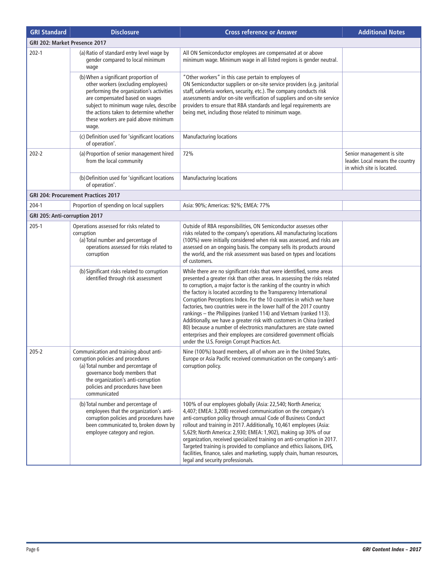| <b>GRI Standard</b>           | <b>Disclosure</b>                                                                                                                                                                                                                                                                               | <b>Cross reference or Answer</b>                                                                                                                                                                                                                                                                                                                                                                                                                                                                                                                                                                                                                                                                                                                                                         | <b>Additional Notes</b>                                                                   |
|-------------------------------|-------------------------------------------------------------------------------------------------------------------------------------------------------------------------------------------------------------------------------------------------------------------------------------------------|------------------------------------------------------------------------------------------------------------------------------------------------------------------------------------------------------------------------------------------------------------------------------------------------------------------------------------------------------------------------------------------------------------------------------------------------------------------------------------------------------------------------------------------------------------------------------------------------------------------------------------------------------------------------------------------------------------------------------------------------------------------------------------------|-------------------------------------------------------------------------------------------|
| GRI 202: Market Presence 2017 |                                                                                                                                                                                                                                                                                                 |                                                                                                                                                                                                                                                                                                                                                                                                                                                                                                                                                                                                                                                                                                                                                                                          |                                                                                           |
| $202 - 1$                     | (a) Ratio of standard entry level wage by<br>gender compared to local minimum<br>wage                                                                                                                                                                                                           | All ON Semiconductor employees are compensated at or above<br>minimum wage. Minimum wage in all listed regions is gender neutral.                                                                                                                                                                                                                                                                                                                                                                                                                                                                                                                                                                                                                                                        |                                                                                           |
|                               | (b) When a significant proportion of<br>other workers (excluding employees)<br>performing the organization's activities<br>are compensated based on wages<br>subject to minimum wage rules, describe<br>the actions taken to determine whether<br>these workers are paid above minimum<br>wage. | "Other workers" in this case pertain to employees of<br>ON Semiconductor suppliers or on-site service providers (e.g. janitorial<br>staff, cafeteria workers, security, etc.). The company conducts risk<br>assessments and/or on-site verification of suppliers and on-site service<br>providers to ensure that RBA standards and legal requirements are<br>being met, including those related to minimum wage.                                                                                                                                                                                                                                                                                                                                                                         |                                                                                           |
|                               | (c) Definition used for 'significant locations<br>of operation'.                                                                                                                                                                                                                                | <b>Manufacturing locations</b>                                                                                                                                                                                                                                                                                                                                                                                                                                                                                                                                                                                                                                                                                                                                                           |                                                                                           |
| $202 - 2$                     | (a) Proportion of senior management hired<br>from the local community                                                                                                                                                                                                                           | 72%                                                                                                                                                                                                                                                                                                                                                                                                                                                                                                                                                                                                                                                                                                                                                                                      | Senior management is site<br>leader. Local means the country<br>in which site is located. |
|                               | (b) Definition used for 'significant locations<br>of operation'.                                                                                                                                                                                                                                | <b>Manufacturing locations</b>                                                                                                                                                                                                                                                                                                                                                                                                                                                                                                                                                                                                                                                                                                                                                           |                                                                                           |
|                               | GRI 204: Procurement Practices 2017                                                                                                                                                                                                                                                             |                                                                                                                                                                                                                                                                                                                                                                                                                                                                                                                                                                                                                                                                                                                                                                                          |                                                                                           |
| $204-1$                       | Proportion of spending on local suppliers                                                                                                                                                                                                                                                       | Asia: 90%; Americas: 92%; EMEA: 77%                                                                                                                                                                                                                                                                                                                                                                                                                                                                                                                                                                                                                                                                                                                                                      |                                                                                           |
| GRI 205: Anti-corruption 2017 |                                                                                                                                                                                                                                                                                                 |                                                                                                                                                                                                                                                                                                                                                                                                                                                                                                                                                                                                                                                                                                                                                                                          |                                                                                           |
| $205-1$                       | Operations assessed for risks related to<br>corruption<br>(a) Total number and percentage of<br>operations assessed for risks related to<br>corruption                                                                                                                                          | Outside of RBA responsibilities, ON Semiconductor assesses other<br>risks related to the company's operations. All manufacturing locations<br>(100%) were initially considered when risk was assessed, and risks are<br>assessed on an ongoing basis. The company sells its products around<br>the world, and the risk assessment was based on types and locations<br>of customers.                                                                                                                                                                                                                                                                                                                                                                                                      |                                                                                           |
|                               | (b) Significant risks related to corruption<br>identified through risk assessment                                                                                                                                                                                                               | While there are no significant risks that were identified, some areas<br>presented a greater risk than other areas. In assessing the risks related<br>to corruption, a major factor is the ranking of the country in which<br>the factory is located according to the Transparency International<br>Corruption Perceptions Index. For the 10 countries in which we have<br>factories, two countries were in the lower half of the 2017 country<br>rankings - the Philippines (ranked 114) and Vietnam (ranked 113).<br>Additionally, we have a greater risk with customers in China (ranked<br>80) because a number of electronics manufacturers are state owned<br>enterprises and their employees are considered government officials<br>under the U.S. Foreign Corrupt Practices Act. |                                                                                           |
| $205 - 2$                     | Communication and training about anti-<br>corruption policies and procedures<br>(a) Total number and percentage of<br>governance body members that<br>the organization's anti-corruption<br>policies and procedures have been<br>communicated                                                   | Nine (100%) board members, all of whom are in the United States,<br>Europe or Asia Pacific received communication on the company's anti-<br>corruption policy.                                                                                                                                                                                                                                                                                                                                                                                                                                                                                                                                                                                                                           |                                                                                           |
|                               | (b) Total number and percentage of<br>employees that the organization's anti-<br>corruption policies and procedures have<br>been communicated to, broken down by<br>employee category and region.                                                                                               | 100% of our employees globally (Asia: 22,540; North America;<br>4,407; EMEA: 3,208) received communication on the company's<br>anti-corruption policy through annual Code of Business Conduct<br>rollout and training in 2017. Additionally, 10,461 employees (Asia:<br>5,629; North America: 2,930; EMEA: 1,902), making up 30% of our<br>organization, received specialized training on anti-corruption in 2017.<br>Targeted training is provided to compliance and ethics liaisons, EHS,<br>facilities, finance, sales and marketing, supply chain, human resources,<br>legal and security professionals.                                                                                                                                                                             |                                                                                           |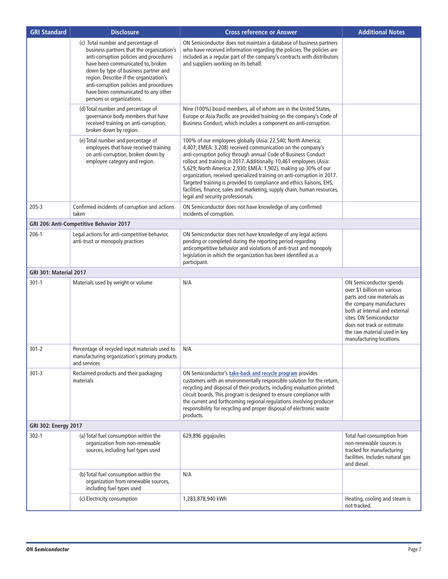| <b>GRI Standard</b>           | <b>Disclosure</b>                                                                                                                                                                                                                                                                                                                                                | <b>Cross reference or Answer</b>                                                                                                                                                                                                                                                                                                                                                                                                                                                                                                                                                                             | <b>Additional Notes</b>                                                                                                                                                                                                                                                |
|-------------------------------|------------------------------------------------------------------------------------------------------------------------------------------------------------------------------------------------------------------------------------------------------------------------------------------------------------------------------------------------------------------|--------------------------------------------------------------------------------------------------------------------------------------------------------------------------------------------------------------------------------------------------------------------------------------------------------------------------------------------------------------------------------------------------------------------------------------------------------------------------------------------------------------------------------------------------------------------------------------------------------------|------------------------------------------------------------------------------------------------------------------------------------------------------------------------------------------------------------------------------------------------------------------------|
|                               | (c) Total number and percentage of<br>business partners that the organization's<br>anti-corruption policies and procedures<br>have been communicated to, broken<br>down by type of business partner and<br>region. Describe if the organization's<br>anti-corruption policies and procedures<br>have been communicated to any other<br>persons or organizations. | ON Semiconductor does not maintain a database of business partners<br>who have received information regarding the policies. The policies are<br>included as a regular part of the company's contracts with distributors<br>and suppliers working on its behalf.                                                                                                                                                                                                                                                                                                                                              |                                                                                                                                                                                                                                                                        |
|                               | (d) Total number and percentage of<br>governance body members that have<br>received training on anti-corruption,<br>broken down by region.                                                                                                                                                                                                                       | Nine (100%) board members, all of whom are in the United States,<br>Europe or Asia Pacific are provided training on the company's Code of<br>Business Conduct, which includes a component on anti-corruption.                                                                                                                                                                                                                                                                                                                                                                                                |                                                                                                                                                                                                                                                                        |
|                               | (e) Total number and percentage of<br>employees that have received training<br>on anti-corruption, broken down by<br>employee category and region.                                                                                                                                                                                                               | 100% of our employees globally (Asia: 22,540; North America;<br>4,407; EMEA: 3,208) received communication on the company's<br>anti-corruption policy through annual Code of Business Conduct<br>rollout and training in 2017. Additionally, 10,461 employees (Asia:<br>5,629; North America: 2,930; EMEA: 1,902), making up 30% of our<br>organization, received specialized training on anti-corruption in 2017.<br>Targeted training is provided to compliance and ethics liaisons, EHS,<br>facilities, finance, sales and marketing, supply chain, human resources,<br>legal and security professionals. |                                                                                                                                                                                                                                                                        |
| $205 - 3$                     | Confirmed incidents of corruption and actions<br>taken                                                                                                                                                                                                                                                                                                           | ON Semiconductor does not have knowledge of any confirmed<br>incidents of corruption.                                                                                                                                                                                                                                                                                                                                                                                                                                                                                                                        |                                                                                                                                                                                                                                                                        |
|                               | GRI 206: Anti-Competitive Behavior 2017                                                                                                                                                                                                                                                                                                                          |                                                                                                                                                                                                                                                                                                                                                                                                                                                                                                                                                                                                              |                                                                                                                                                                                                                                                                        |
| $206-1$                       | Legal actions for anti-competitive behavior,<br>anti-trust or monopoly practices                                                                                                                                                                                                                                                                                 | ON Semiconductor does not have knowledge of any legal actions<br>pending or completed during the reporting period regarding<br>anticompetitive behavior and violations of anti-trust and monopoly<br>legislation in which the organization has been identified as a<br>participant.                                                                                                                                                                                                                                                                                                                          |                                                                                                                                                                                                                                                                        |
| <b>GRI 301: Material 2017</b> |                                                                                                                                                                                                                                                                                                                                                                  |                                                                                                                                                                                                                                                                                                                                                                                                                                                                                                                                                                                                              |                                                                                                                                                                                                                                                                        |
| $301 - 1$                     | Materials used by weight or volume                                                                                                                                                                                                                                                                                                                               | N/A                                                                                                                                                                                                                                                                                                                                                                                                                                                                                                                                                                                                          | ON Semiconductor spends<br>over \$1 billion on various<br>parts and raw materials as<br>the company manufactures<br>both at internal and external<br>sites. ON Semiconductor<br>does not track or estimate<br>the raw material used in key<br>manufacturing locations. |
| $301 - 2$                     | Percentage of recycled input materials used to<br>manufacturing organization's primary products<br>and services                                                                                                                                                                                                                                                  | N/A                                                                                                                                                                                                                                                                                                                                                                                                                                                                                                                                                                                                          |                                                                                                                                                                                                                                                                        |
| $301 - 3$                     | Reclaimed products and their packaging<br>materials                                                                                                                                                                                                                                                                                                              | ON Semiconductor's take-back and recycle program provides<br>customers with an environmentally responsible solution for the return,<br>recycling and disposal of their products, including evaluation printed<br>circuit boards. This program is designed to ensure compliance with<br>the current and forthcoming regional regulations involving producer<br>responsibility for recycling and proper disposal of electronic waste<br>products.                                                                                                                                                              |                                                                                                                                                                                                                                                                        |
| <b>GRI 302: Energy 2017</b>   |                                                                                                                                                                                                                                                                                                                                                                  |                                                                                                                                                                                                                                                                                                                                                                                                                                                                                                                                                                                                              |                                                                                                                                                                                                                                                                        |
| $302 - 1$                     | (a) Total fuel consumption within the<br>organization from non-renewable<br>sources, including fuel types used                                                                                                                                                                                                                                                   | 629,896 gigajoules                                                                                                                                                                                                                                                                                                                                                                                                                                                                                                                                                                                           | Total fuel consumption from<br>non-renewable sources is<br>tracked for manufacturing<br>facilities. Includes natural gas<br>and diesel.                                                                                                                                |
|                               | (b) Total fuel consumption within the<br>organization from renewable sources,<br>including fuel types used                                                                                                                                                                                                                                                       | N/A                                                                                                                                                                                                                                                                                                                                                                                                                                                                                                                                                                                                          |                                                                                                                                                                                                                                                                        |
|                               | (c) Electricity consumption                                                                                                                                                                                                                                                                                                                                      | 1,283,878,940 kWh                                                                                                                                                                                                                                                                                                                                                                                                                                                                                                                                                                                            | Heating, cooling and steam is<br>not tracked.                                                                                                                                                                                                                          |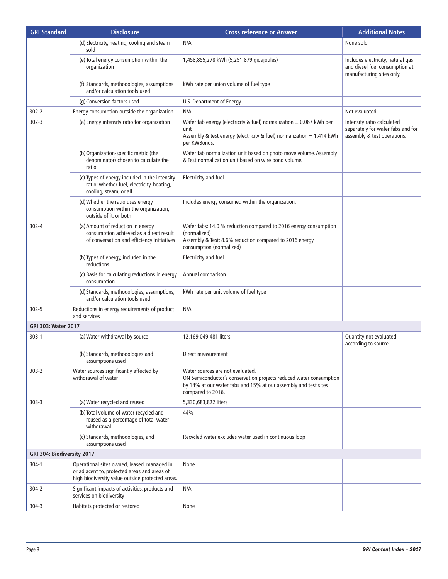| <b>GRI Standard</b>        | <b>Disclosure</b>                                                                                                                                | <b>Cross reference or Answer</b>                                                                                                                                                               | <b>Additional Notes</b>                                                                          |
|----------------------------|--------------------------------------------------------------------------------------------------------------------------------------------------|------------------------------------------------------------------------------------------------------------------------------------------------------------------------------------------------|--------------------------------------------------------------------------------------------------|
|                            | (d) Electricity, heating, cooling and steam<br>sold                                                                                              | N/A                                                                                                                                                                                            | None sold                                                                                        |
|                            | (e) Total energy consumption within the<br>organization                                                                                          | 1,458,855,278 kWh (5,251,879 gigajoules)                                                                                                                                                       | Includes electricity, natural gas<br>and diesel fuel consumption at<br>manufacturing sites only. |
|                            | (f) Standards, methodologies, assumptions<br>and/or calculation tools used                                                                       | kWh rate per union volume of fuel type                                                                                                                                                         |                                                                                                  |
|                            | (g) Conversion factors used                                                                                                                      | U.S. Department of Energy                                                                                                                                                                      |                                                                                                  |
| $302 - 2$                  | Energy consumption outside the organization                                                                                                      | N/A                                                                                                                                                                                            | Not evaluated                                                                                    |
| $302 - 3$                  | (a) Energy intensity ratio for organization                                                                                                      | Wafer fab energy (electricity & fuel) normalization = $0.067$ kWh per<br>unit<br>Assembly & test energy (electricity & fuel) normalization = 1.414 kWh<br>per KWBonds.                         | Intensity ratio calculated<br>separately for wafer fabs and for<br>assembly & test operations.   |
|                            | (b) Organization-specific metric (the<br>denominator) chosen to calculate the<br>ratio                                                           | Wafer fab normalization unit based on photo move volume. Assembly<br>& Test normalization unit based on wire bond volume.                                                                      |                                                                                                  |
|                            | (c) Types of energy included in the intensity<br>ratio; whether fuel, electricity, heating,<br>cooling, steam, or all                            | Electricity and fuel.                                                                                                                                                                          |                                                                                                  |
|                            | (d) Whether the ratio uses energy<br>consumption within the organization,<br>outside of it, or both                                              | Includes energy consumed within the organization.                                                                                                                                              |                                                                                                  |
| $302 - 4$                  | (a) Amount of reduction in energy<br>consumption achieved as a direct result<br>of conversation and efficiency initiatives                       | Wafer fabs: 14.0 % reduction compared to 2016 energy consumption<br>(normalized)<br>Assembly & Test: 8.6% reduction compared to 2016 energy<br>consumption (normalized)                        |                                                                                                  |
|                            | (b) Types of energy, included in the<br>reductions                                                                                               | Electricity and fuel                                                                                                                                                                           |                                                                                                  |
|                            | (c) Basis for calculating reductions in energy<br>consumption                                                                                    | Annual comparison                                                                                                                                                                              |                                                                                                  |
|                            | (d) Standards, methodologies, assumptions,<br>and/or calculation tools used                                                                      | kWh rate per unit volume of fuel type                                                                                                                                                          |                                                                                                  |
| $302 - 5$                  | Reductions in energy requirements of product<br>and services                                                                                     | N/A                                                                                                                                                                                            |                                                                                                  |
| <b>GRI 303: Water 2017</b> |                                                                                                                                                  |                                                                                                                                                                                                |                                                                                                  |
| $303-1$                    | (a) Water withdrawal by source                                                                                                                   | 12,169,049,481 liters                                                                                                                                                                          | Quantity not evaluated<br>according to source.                                                   |
|                            | (b) Standards, methodologies and<br>assumptions used                                                                                             | Direct measurement                                                                                                                                                                             |                                                                                                  |
| $303 - 2$                  | Water sources significantly affected by<br>withdrawal of water                                                                                   | Water sources are not evaluated.<br>ON Semiconductor's conservation projects reduced water consumption<br>by 14% at our wafer fabs and 15% at our assembly and test sites<br>compared to 2016. |                                                                                                  |
| $303 - 3$                  | (a) Water recycled and reused                                                                                                                    | 5,330,683,822 liters                                                                                                                                                                           |                                                                                                  |
|                            | (b) Total volume of water recycled and<br>reused as a percentage of total water<br>withdrawal                                                    | 44%                                                                                                                                                                                            |                                                                                                  |
|                            | (c) Standards, methodologies, and<br>assumptions used                                                                                            | Recycled water excludes water used in continuous loop                                                                                                                                          |                                                                                                  |
| GRI 304: Biodiversity 2017 |                                                                                                                                                  |                                                                                                                                                                                                |                                                                                                  |
| $304-1$                    | Operational sites owned, leased, managed in,<br>or adjacent to, protected areas and areas of<br>high biodiversity value outside protected areas. | None                                                                                                                                                                                           |                                                                                                  |
| $304 - 2$                  | Significant impacts of activities, products and<br>services on biodiversity                                                                      | N/A                                                                                                                                                                                            |                                                                                                  |
| $304 - 3$                  | Habitats protected or restored                                                                                                                   | None                                                                                                                                                                                           |                                                                                                  |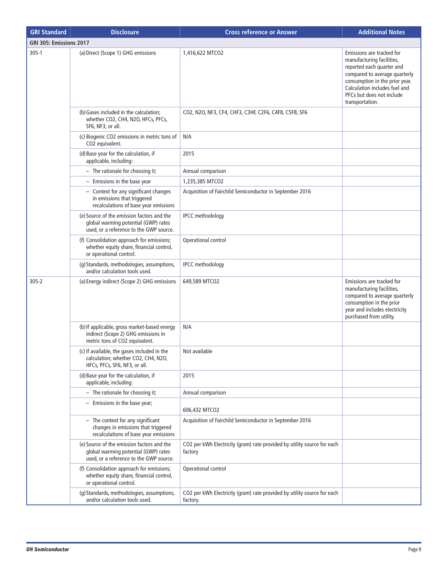| <b>GRI Standard</b>     | <b>Disclosure</b>                                                                                                             | <b>Cross reference or Answer</b>                                                    | <b>Additional Notes</b>                                                                                                                                                                                                                 |
|-------------------------|-------------------------------------------------------------------------------------------------------------------------------|-------------------------------------------------------------------------------------|-----------------------------------------------------------------------------------------------------------------------------------------------------------------------------------------------------------------------------------------|
| GRI 305: Emissions 2017 |                                                                                                                               |                                                                                     |                                                                                                                                                                                                                                         |
| $305-1$                 | (a) Direct (Scope 1) GHG emissions                                                                                            | 1,416,622 MTCO2                                                                     | Emissions are tracked for<br>manufacturing facilities,<br>reported each quarter and<br>compared to average quarterly<br>consumption in the prior year.<br>Calculation includes fuel and<br>PFCs but does not include<br>transportation. |
|                         | (b) Gases included in the calculation;<br>whether CO2, CH4, N2O, HFCs, PFCs,<br>SF6, NF3, or all.                             | CO2, N2O, NF3, CF4, CHF3, C3HF, C2F6, C4F8, C5F8, SF6                               |                                                                                                                                                                                                                                         |
|                         | (c) Biogenic CO2 emissions in metric tons of<br>CO2 equivalent.                                                               | N/A                                                                                 |                                                                                                                                                                                                                                         |
|                         | (d) Base year for the calculation, if<br>applicable, including:                                                               | 2015                                                                                |                                                                                                                                                                                                                                         |
|                         | - The rationale for choosing it;                                                                                              | Annual comparison                                                                   |                                                                                                                                                                                                                                         |
|                         | $-$ Emissions in the base year                                                                                                | 1,235,385 MTCO2                                                                     |                                                                                                                                                                                                                                         |
|                         | - Context for any significant changes<br>in emissions that triggered<br>recalculations of base year emissions                 | Acquisition of Fairchild Semiconductor in September 2016                            |                                                                                                                                                                                                                                         |
|                         | (e) Source of the emission factors and the<br>global warming potential (GWP) rates<br>used, or a reference to the GWP source. | <b>IPCC</b> methodology                                                             |                                                                                                                                                                                                                                         |
|                         | (f) Consolidation approach for emissions;<br>whether equity share, financial control,<br>or operational control.              | Operational control                                                                 |                                                                                                                                                                                                                                         |
|                         | (g) Standards, methodologies, assumptions,<br>and/or calculation tools used.                                                  | <b>IPCC</b> methodology                                                             |                                                                                                                                                                                                                                         |
| $305 - 2$               | (a) Energy indirect (Scope 2) GHG emissions                                                                                   | 649,589 MTCO2                                                                       | Emissions are tracked for<br>manufacturing facilities,<br>compared to average quarterly<br>consumption in the prior<br>year and includes electricity<br>purchased from utility.                                                         |
|                         | (b) If applicable, gross market-based energy<br>indirect (Scope 2) GHG emissions in<br>metric tons of CO2 equivalent.         | N/A                                                                                 |                                                                                                                                                                                                                                         |
|                         | (c) If available, the gases included in the<br>calculation; whether CO2, CH4, N2O,<br>HFCs, PFCs, SF6, NF3, or all.           | Not available                                                                       |                                                                                                                                                                                                                                         |
|                         | (d) Base year for the calculation, if<br>applicable, including:                                                               | 2015                                                                                |                                                                                                                                                                                                                                         |
|                         | - The rationale for choosing it;                                                                                              | Annual comparison                                                                   |                                                                                                                                                                                                                                         |
|                         | $-$ Emissions in the base year;                                                                                               | 606,432 MTCO2                                                                       |                                                                                                                                                                                                                                         |
|                         | $-$ The context for any significant<br>changes in emissions that triggered<br>recalculations of base year emissions           | Acquisition of Fairchild Semiconductor in September 2016                            |                                                                                                                                                                                                                                         |
|                         | (e) Source of the emission factors and the<br>global warming potential (GWP) rates<br>used, or a reference to the GWP source. | CO2 per kWh Electricity (gram) rate provided by utility source for each<br>factory  |                                                                                                                                                                                                                                         |
|                         | (f) Consolidation approach for emissions;<br>whether equity share, financial control,<br>or operational control.              | Operational control                                                                 |                                                                                                                                                                                                                                         |
|                         | (g) Standards, methodologies, assumptions,<br>and/or calculation tools used.                                                  | CO2 per kWh Electricity (gram) rate provided by utility source for each<br>factory. |                                                                                                                                                                                                                                         |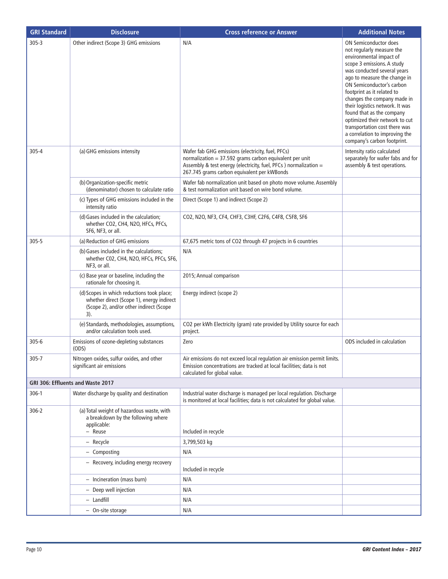| <b>GRI Standard</b> | <b>Disclosure</b>                                                                                                                         | <b>Cross reference or Answer</b>                                                                                                                                                                                                   | <b>Additional Notes</b>                                                                                                                                                                                                                                                                                                                                                                                                                                                         |
|---------------------|-------------------------------------------------------------------------------------------------------------------------------------------|------------------------------------------------------------------------------------------------------------------------------------------------------------------------------------------------------------------------------------|---------------------------------------------------------------------------------------------------------------------------------------------------------------------------------------------------------------------------------------------------------------------------------------------------------------------------------------------------------------------------------------------------------------------------------------------------------------------------------|
| $305 - 3$           | Other indirect (Scope 3) GHG emissions                                                                                                    | N/A                                                                                                                                                                                                                                | <b>ON Semiconductor does</b><br>not regularly measure the<br>environmental impact of<br>scope 3 emissions. A study<br>was conducted several years<br>ago to measure the change in<br>ON Semiconductor's carbon<br>footprint as it related to<br>changes the company made in<br>their logistics network. It was<br>found that as the company<br>optimized their network to cut<br>transportation cost there was<br>a correlation to improving the<br>company's carbon footprint. |
| $305 - 4$           | (a) GHG emissions intensity                                                                                                               | Wafer fab GHG emissions (electricity, fuel, PFCs)<br>normalization = $37.592$ grams carbon equivalent per unit<br>Assembly & test energy (electricity, fuel, PFCs ) normalization =<br>267.745 grams carbon equivalent per kWBonds | Intensity ratio calculated<br>separately for wafer fabs and for<br>assembly & test operations.                                                                                                                                                                                                                                                                                                                                                                                  |
|                     | (b) Organization-specific metric<br>(denominator) chosen to calculate ratio                                                               | Wafer fab normalization unit based on photo move volume. Assembly<br>& test normalization unit based on wire bond volume.                                                                                                          |                                                                                                                                                                                                                                                                                                                                                                                                                                                                                 |
|                     | (c) Types of GHG emissions included in the<br>intensity ratio                                                                             | Direct (Scope 1) and indirect (Scope 2)                                                                                                                                                                                            |                                                                                                                                                                                                                                                                                                                                                                                                                                                                                 |
|                     | (d) Gases included in the calculation;<br>whether CO2, CH4, N2O, HFCs, PFCs,<br>SF6, NF3, or all.                                         | CO2, N2O, NF3, CF4, CHF3, C3HF, C2F6, C4F8, C5F8, SF6                                                                                                                                                                              |                                                                                                                                                                                                                                                                                                                                                                                                                                                                                 |
| $305 - 5$           | (a) Reduction of GHG emissions                                                                                                            | 67,675 metric tons of CO2 through 47 projects in 6 countries                                                                                                                                                                       |                                                                                                                                                                                                                                                                                                                                                                                                                                                                                 |
|                     | (b) Gases included in the calculations;<br>whether C02, CH4, N2O, HFCs, PFCs, SF6,<br>NF3, or all.                                        | N/A                                                                                                                                                                                                                                |                                                                                                                                                                                                                                                                                                                                                                                                                                                                                 |
|                     | (c) Base year or baseline, including the<br>rationale for choosing it.                                                                    | 2015; Annual comparison                                                                                                                                                                                                            |                                                                                                                                                                                                                                                                                                                                                                                                                                                                                 |
|                     | (d) Scopes in which reductions took place;<br>whether direct (Scope 1), energy indirect<br>(Scope 2), and/or other indirect (Scope<br>3). | Energy indirect (scope 2)                                                                                                                                                                                                          |                                                                                                                                                                                                                                                                                                                                                                                                                                                                                 |
|                     | (e) Standards, methodologies, assumptions,<br>and/or calculation tools used.                                                              | CO2 per kWh Electricity (gram) rate provided by Utility source for each<br>project.                                                                                                                                                |                                                                                                                                                                                                                                                                                                                                                                                                                                                                                 |
| $305 - 6$           | Emissions of ozone-depleting substances<br>(ODS)                                                                                          | Zero                                                                                                                                                                                                                               | ODS included in calculation                                                                                                                                                                                                                                                                                                                                                                                                                                                     |
| $305 - 7$           | Nitrogen oxides, sulfur oxides, and other<br>significant air emissions                                                                    | Air emissions do not exceed local regulation air emission permit limits.<br>Emission concentrations are tracked at local facilities; data is not<br>calculated for global value.                                                   |                                                                                                                                                                                                                                                                                                                                                                                                                                                                                 |
|                     | GRI 306: Effluents and Waste 2017                                                                                                         |                                                                                                                                                                                                                                    |                                                                                                                                                                                                                                                                                                                                                                                                                                                                                 |
| $306-1$             | Water discharge by quality and destination                                                                                                | Industrial water discharge is managed per local regulation. Discharge<br>is monitored at local facilities; data is not calculated for global value.                                                                                |                                                                                                                                                                                                                                                                                                                                                                                                                                                                                 |
| $306 - 2$           | (a) Total weight of hazardous waste, with<br>a breakdown by the following where<br>applicable:<br>- Reuse                                 | Included in recycle                                                                                                                                                                                                                |                                                                                                                                                                                                                                                                                                                                                                                                                                                                                 |
|                     | - Recycle                                                                                                                                 | 3,799,503 kg                                                                                                                                                                                                                       |                                                                                                                                                                                                                                                                                                                                                                                                                                                                                 |
|                     | - Composting                                                                                                                              | N/A                                                                                                                                                                                                                                |                                                                                                                                                                                                                                                                                                                                                                                                                                                                                 |
|                     | - Recovery, including energy recovery                                                                                                     | Included in recycle                                                                                                                                                                                                                |                                                                                                                                                                                                                                                                                                                                                                                                                                                                                 |
|                     | - Incineration (mass burn)                                                                                                                | N/A                                                                                                                                                                                                                                |                                                                                                                                                                                                                                                                                                                                                                                                                                                                                 |
|                     | - Deep well injection                                                                                                                     | N/A                                                                                                                                                                                                                                |                                                                                                                                                                                                                                                                                                                                                                                                                                                                                 |
|                     | - Landfill                                                                                                                                | N/A                                                                                                                                                                                                                                |                                                                                                                                                                                                                                                                                                                                                                                                                                                                                 |
|                     | - On-site storage                                                                                                                         | N/A                                                                                                                                                                                                                                |                                                                                                                                                                                                                                                                                                                                                                                                                                                                                 |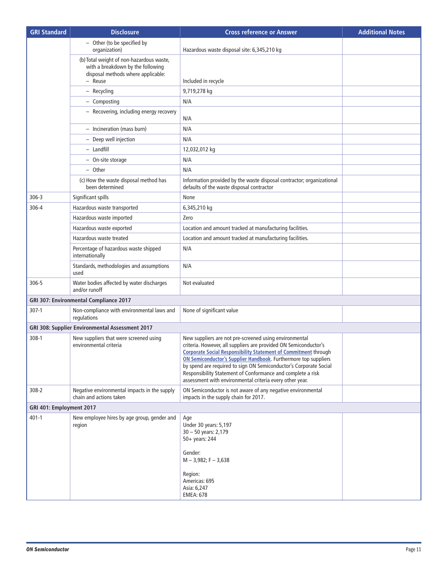| <b>GRI Standard</b>      | <b>Disclosure</b>                                                                                                              | <b>Cross reference or Answer</b>                                                                                                                                                                                                                                                                                                                                                                                                                                        | <b>Additional Notes</b> |
|--------------------------|--------------------------------------------------------------------------------------------------------------------------------|-------------------------------------------------------------------------------------------------------------------------------------------------------------------------------------------------------------------------------------------------------------------------------------------------------------------------------------------------------------------------------------------------------------------------------------------------------------------------|-------------------------|
|                          | - Other (to be specified by<br>organization)                                                                                   | Hazardous waste disposal site: 6,345,210 kg                                                                                                                                                                                                                                                                                                                                                                                                                             |                         |
|                          | (b) Total weight of non-hazardous waste,<br>with a breakdown by the following<br>disposal methods where applicable:<br>- Reuse | Included in recycle                                                                                                                                                                                                                                                                                                                                                                                                                                                     |                         |
|                          | - Recycling                                                                                                                    | 9,719,278 kg                                                                                                                                                                                                                                                                                                                                                                                                                                                            |                         |
|                          | - Composting                                                                                                                   | N/A                                                                                                                                                                                                                                                                                                                                                                                                                                                                     |                         |
|                          | - Recovering, including energy recovery                                                                                        | N/A                                                                                                                                                                                                                                                                                                                                                                                                                                                                     |                         |
|                          | - Incineration (mass burn)                                                                                                     | N/A                                                                                                                                                                                                                                                                                                                                                                                                                                                                     |                         |
|                          | - Deep well injection                                                                                                          | N/A                                                                                                                                                                                                                                                                                                                                                                                                                                                                     |                         |
|                          | - Landfill                                                                                                                     | 12,032,012 kg                                                                                                                                                                                                                                                                                                                                                                                                                                                           |                         |
|                          | - On-site storage                                                                                                              | N/A                                                                                                                                                                                                                                                                                                                                                                                                                                                                     |                         |
|                          | - Other                                                                                                                        | N/A                                                                                                                                                                                                                                                                                                                                                                                                                                                                     |                         |
|                          | (c) How the waste disposal method has<br>been determined                                                                       | Information provided by the waste disposal contractor; organizational<br>defaults of the waste disposal contractor                                                                                                                                                                                                                                                                                                                                                      |                         |
| $306 - 3$                | Significant spills                                                                                                             | None                                                                                                                                                                                                                                                                                                                                                                                                                                                                    |                         |
| 306-4                    | Hazardous waste transported                                                                                                    | 6,345,210 kg                                                                                                                                                                                                                                                                                                                                                                                                                                                            |                         |
|                          | Hazardous waste imported                                                                                                       | Zero                                                                                                                                                                                                                                                                                                                                                                                                                                                                    |                         |
|                          | Hazardous waste exported                                                                                                       | Location and amount tracked at manufacturing facilities.                                                                                                                                                                                                                                                                                                                                                                                                                |                         |
|                          | Hazardous waste treated                                                                                                        | Location and amount tracked at manufacturing facilities.                                                                                                                                                                                                                                                                                                                                                                                                                |                         |
|                          | Percentage of hazardous waste shipped<br>internationally                                                                       | N/A                                                                                                                                                                                                                                                                                                                                                                                                                                                                     |                         |
|                          | Standards, methodologies and assumptions<br>used                                                                               | N/A                                                                                                                                                                                                                                                                                                                                                                                                                                                                     |                         |
| 306-5                    | Water bodies affected by water discharges<br>and/or runoff                                                                     | Not evaluated                                                                                                                                                                                                                                                                                                                                                                                                                                                           |                         |
|                          | GRI 307: Environmental Compliance 2017                                                                                         |                                                                                                                                                                                                                                                                                                                                                                                                                                                                         |                         |
| $307-1$                  | Non-compliance with environmental laws and<br>regulations                                                                      | None of significant value                                                                                                                                                                                                                                                                                                                                                                                                                                               |                         |
|                          | GRI 308: Supplier Environmental Assessment 2017                                                                                |                                                                                                                                                                                                                                                                                                                                                                                                                                                                         |                         |
| $308-1$                  | New suppliers that were screened using<br>environmental criteria                                                               | New suppliers are not pre-screened using environmental<br>criteria. However, all suppliers are provided ON Semiconductor's<br><b>Corporate Social Responsibility Statement of Commitment through</b><br>ON Semiconductor's Supplier Handbook. Furthermore top suppliers<br>by spend are required to sign ON Semiconductor's Corporate Social<br>Responsibility Statement of Conformance and complete a risk<br>assessment with environmental criteria every other year. |                         |
| 308-2                    | Negative environmental impacts in the supply<br>chain and actions taken                                                        | ON Semiconductor is not aware of any negative environmental<br>impacts in the supply chain for 2017.                                                                                                                                                                                                                                                                                                                                                                    |                         |
| GRI 401: Employment 2017 |                                                                                                                                |                                                                                                                                                                                                                                                                                                                                                                                                                                                                         |                         |
| $401 - 1$                | New employee hires by age group, gender and<br>region                                                                          | Age<br>Under 30 years: 5,197<br>$30 - 50$ years: 2,179<br>50+ years: 244<br>Gender:<br>$M - 3,982$ ; F - 3,638                                                                                                                                                                                                                                                                                                                                                          |                         |
|                          |                                                                                                                                | Region:<br>Americas: 695<br>Asia: 6,247<br><b>EMEA: 678</b>                                                                                                                                                                                                                                                                                                                                                                                                             |                         |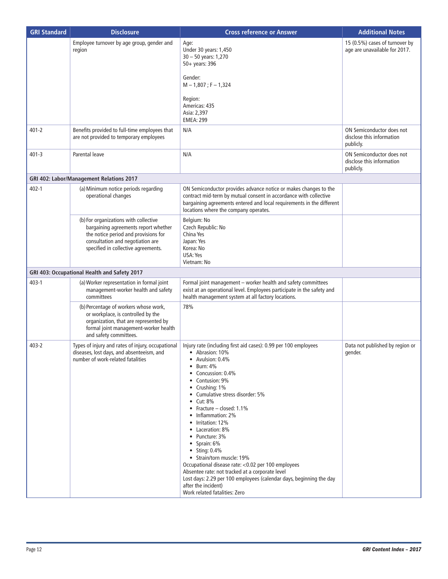| <b>GRI Standard</b> | <b>Disclosure</b>                                                                                                                                                                                | <b>Cross reference or Answer</b>                                                                                                                                                                                                                                                                                                                                                                                                                                                                                                                                                                                                                                                    | <b>Additional Notes</b>                                             |
|---------------------|--------------------------------------------------------------------------------------------------------------------------------------------------------------------------------------------------|-------------------------------------------------------------------------------------------------------------------------------------------------------------------------------------------------------------------------------------------------------------------------------------------------------------------------------------------------------------------------------------------------------------------------------------------------------------------------------------------------------------------------------------------------------------------------------------------------------------------------------------------------------------------------------------|---------------------------------------------------------------------|
|                     | Employee turnover by age group, gender and<br>region                                                                                                                                             | Age:<br>Under 30 years: 1,450<br>30 - 50 years: 1,270<br>50+ years: 396<br>Gender:<br>$M - 1,807$ ; F - 1,324<br>Region:                                                                                                                                                                                                                                                                                                                                                                                                                                                                                                                                                            | 15 (0.5%) cases of turnover by<br>age are unavailable for 2017.     |
|                     |                                                                                                                                                                                                  | Americas: 435<br>Asia: 2,397<br><b>EMEA: 299</b>                                                                                                                                                                                                                                                                                                                                                                                                                                                                                                                                                                                                                                    |                                                                     |
| $401 - 2$           | Benefits provided to full-time employees that<br>are not provided to temporary employees                                                                                                         | N/A                                                                                                                                                                                                                                                                                                                                                                                                                                                                                                                                                                                                                                                                                 | ON Semiconductor does not<br>disclose this information<br>publicly. |
| $401 - 3$           | Parental leave                                                                                                                                                                                   | N/A                                                                                                                                                                                                                                                                                                                                                                                                                                                                                                                                                                                                                                                                                 | ON Semiconductor does not<br>disclose this information<br>publicly. |
|                     | GRI 402: Labor/Management Relations 2017                                                                                                                                                         |                                                                                                                                                                                                                                                                                                                                                                                                                                                                                                                                                                                                                                                                                     |                                                                     |
| $402 - 1$           | (a) Minimum notice periods regarding<br>operational changes                                                                                                                                      | ON Semiconductor provides advance notice or makes changes to the<br>contract mid-term by mutual consent in accordance with collective<br>bargaining agreements entered and local requirements in the different<br>locations where the company operates.                                                                                                                                                                                                                                                                                                                                                                                                                             |                                                                     |
|                     | (b) For organizations with collective<br>bargaining agreements report whether<br>the notice period and provisions for<br>consultation and negotiation are<br>specified in collective agreements. | Belgium: No<br>Czech Republic: No<br>China Yes<br>Japan: Yes<br>Korea: No<br>USA: Yes<br>Vietnam: No                                                                                                                                                                                                                                                                                                                                                                                                                                                                                                                                                                                |                                                                     |
|                     | GRI 403: Occupational Health and Safety 2017                                                                                                                                                     |                                                                                                                                                                                                                                                                                                                                                                                                                                                                                                                                                                                                                                                                                     |                                                                     |
| $403 - 1$           | (a) Worker representation in formal joint<br>management-worker health and safety<br>committees                                                                                                   | Formal joint management - worker health and safety committees<br>exist at an operational level. Employees participate in the safety and<br>health management system at all factory locations.                                                                                                                                                                                                                                                                                                                                                                                                                                                                                       |                                                                     |
|                     | (b) Percentage of workers whose work,<br>or workplace, is controlled by the<br>organization, that are represented by<br>formal joint management-worker health<br>and safety committees.          | 78%                                                                                                                                                                                                                                                                                                                                                                                                                                                                                                                                                                                                                                                                                 |                                                                     |
| $403 - 2$           | Types of injury and rates of injury, occupational<br>diseases, lost days, and absenteeism, and<br>number of work-related fatalities                                                              | Injury rate (including first aid cases): 0.99 per 100 employees<br>• Abrasion: 10%<br>• Avulsion: $0.4\%$<br>Burn: 4%<br>$\bullet$<br>• Concussion: 0.4%<br>• Contusion: 9%<br>• Crushing: 1%<br>• Cumulative stress disorder: 5%<br>$\bullet$ Cut: 8%<br>• Fracture – closed: 1.1%<br>• Inflammation: 2%<br>• Irritation: 12%<br>• Laceration: 8%<br>• Puncture: 3%<br>$\bullet$ Sprain: 6%<br>• Sting: 0.4%<br>• Strain/torn muscle: 19%<br>Occupational disease rate: < 0.02 per 100 employees<br>Absentee rate: not tracked at a corporate level<br>Lost days: 2.29 per 100 employees (calendar days, beginning the day<br>after the incident)<br>Work related fatalities: Zero | Data not published by region or<br>gender.                          |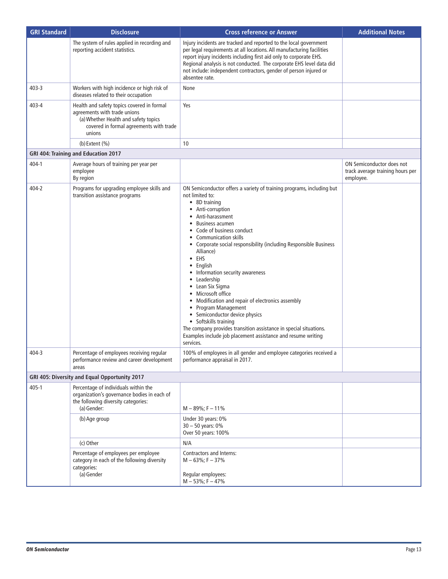| <b>GRI Standard</b> | <b>Disclosure</b>                                                                                                                                                       | <b>Cross reference or Answer</b>                                                                                                                                                                                                                                                                                                                                                                                                                                                                                                                                                                                                                                                                                                                              | <b>Additional Notes</b>                                                    |
|---------------------|-------------------------------------------------------------------------------------------------------------------------------------------------------------------------|---------------------------------------------------------------------------------------------------------------------------------------------------------------------------------------------------------------------------------------------------------------------------------------------------------------------------------------------------------------------------------------------------------------------------------------------------------------------------------------------------------------------------------------------------------------------------------------------------------------------------------------------------------------------------------------------------------------------------------------------------------------|----------------------------------------------------------------------------|
|                     | The system of rules applied in recording and<br>reporting accident statistics.                                                                                          | Injury incidents are tracked and reported to the local government<br>per legal requirements at all locations. All manufacturing facilities<br>report injury incidents including first aid only to corporate EHS.<br>Regional analysis is not conducted. The corporate EHS level data did<br>not include: independent contractors, gender of person injured or<br>absentee rate.                                                                                                                                                                                                                                                                                                                                                                               |                                                                            |
| $403 - 3$           | Workers with high incidence or high risk of<br>diseases related to their occupation                                                                                     | None                                                                                                                                                                                                                                                                                                                                                                                                                                                                                                                                                                                                                                                                                                                                                          |                                                                            |
| 403-4               | Health and safety topics covered in formal<br>agreements with trade unions<br>(a) Whether Health and safety topics<br>covered in formal agreements with trade<br>unions | Yes                                                                                                                                                                                                                                                                                                                                                                                                                                                                                                                                                                                                                                                                                                                                                           |                                                                            |
|                     | $(b)$ Extent $(\% )$                                                                                                                                                    | 10                                                                                                                                                                                                                                                                                                                                                                                                                                                                                                                                                                                                                                                                                                                                                            |                                                                            |
|                     | <b>GRI 404: Training and Education 2017</b>                                                                                                                             |                                                                                                                                                                                                                                                                                                                                                                                                                                                                                                                                                                                                                                                                                                                                                               |                                                                            |
| 404-1               | Average hours of training per year per<br>employee<br>By region                                                                                                         |                                                                                                                                                                                                                                                                                                                                                                                                                                                                                                                                                                                                                                                                                                                                                               | ON Semiconductor does not<br>track average training hours per<br>employee. |
| 404-2               | Programs for upgrading employee skills and<br>transition assistance programs                                                                                            | ON Semiconductor offers a variety of training programs, including but<br>not limited to:<br>• 8D training<br>Anti-corruption<br>$\bullet$<br>• Anti-harassment<br><b>Business acumen</b><br>Code of business conduct<br>• Communication skills<br>• Corporate social responsibility (including Responsible Business<br>Alliance)<br>$\bullet$ EHS<br>English<br>• Information security awareness<br>Leadership<br>• Lean Six Sigma<br>• Microsoft office<br>• Modification and repair of electronics assembly<br>• Program Management<br>Semiconductor device physics<br>$\bullet$<br>• Softskills training<br>The company provides transition assistance in special situations.<br>Examples include job placement assistance and resume writing<br>services. |                                                                            |
| 404-3               | Percentage of employees receiving regular<br>performance review and career development<br>areas                                                                         | 100% of employees in all gender and employee categories received a<br>performance appraisal in 2017.                                                                                                                                                                                                                                                                                                                                                                                                                                                                                                                                                                                                                                                          |                                                                            |
|                     | GRI 405: Diversity and Equal Opportunity 2017                                                                                                                           |                                                                                                                                                                                                                                                                                                                                                                                                                                                                                                                                                                                                                                                                                                                                                               |                                                                            |
| $405 - 1$           | Percentage of individuals within the<br>organization's governance bodies in each of<br>the following diversity categories:<br>(a) Gender:                               | $M - 89\%$ ; F - 11%                                                                                                                                                                                                                                                                                                                                                                                                                                                                                                                                                                                                                                                                                                                                          |                                                                            |
|                     | (b) Age group                                                                                                                                                           | Under 30 years: 0%<br>$30 - 50$ years: $0\%$<br>Over 50 years: 100%                                                                                                                                                                                                                                                                                                                                                                                                                                                                                                                                                                                                                                                                                           |                                                                            |
|                     | (c) Other                                                                                                                                                               | N/A                                                                                                                                                                                                                                                                                                                                                                                                                                                                                                                                                                                                                                                                                                                                                           |                                                                            |
|                     | Percentage of employees per employee<br>category in each of the following diversity<br>categories:<br>(a) Gender                                                        | Contractors and Interns:<br>$M - 63\%$ ; F - 37%<br>Regular employees:                                                                                                                                                                                                                                                                                                                                                                                                                                                                                                                                                                                                                                                                                        |                                                                            |
|                     |                                                                                                                                                                         | $M - 53\%$ ; F - 47%                                                                                                                                                                                                                                                                                                                                                                                                                                                                                                                                                                                                                                                                                                                                          |                                                                            |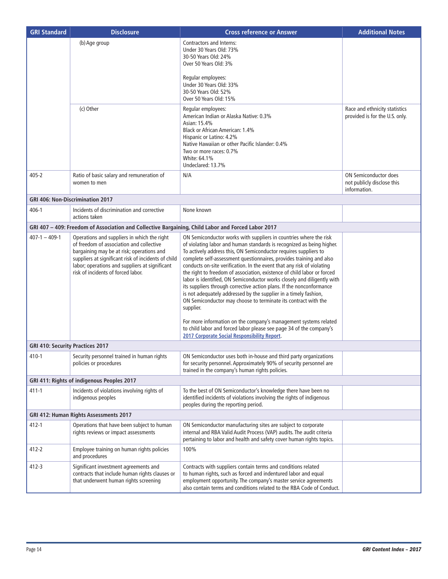| <b>GRI Standard</b>                        | <b>Disclosure</b>                                                                                                                                                                                                                                                                   | <b>Cross reference or Answer</b>                                                                                                                                                                                                                                                                                                                                                                                                                                                                                                                                                                                                                                                                                                                                                                                     | <b>Additional Notes</b>                                                    |  |  |
|--------------------------------------------|-------------------------------------------------------------------------------------------------------------------------------------------------------------------------------------------------------------------------------------------------------------------------------------|----------------------------------------------------------------------------------------------------------------------------------------------------------------------------------------------------------------------------------------------------------------------------------------------------------------------------------------------------------------------------------------------------------------------------------------------------------------------------------------------------------------------------------------------------------------------------------------------------------------------------------------------------------------------------------------------------------------------------------------------------------------------------------------------------------------------|----------------------------------------------------------------------------|--|--|
|                                            | (b) Age group                                                                                                                                                                                                                                                                       | Contractors and Interns:<br>Under 30 Years Old: 73%<br>30-50 Years Old: 24%<br>Over 50 Years Old: 3%                                                                                                                                                                                                                                                                                                                                                                                                                                                                                                                                                                                                                                                                                                                 |                                                                            |  |  |
|                                            |                                                                                                                                                                                                                                                                                     | Regular employees:<br>Under 30 Years Old: 33%<br>30-50 Years Old: 52%<br>Over 50 Years Old: 15%                                                                                                                                                                                                                                                                                                                                                                                                                                                                                                                                                                                                                                                                                                                      |                                                                            |  |  |
|                                            | (c) Other                                                                                                                                                                                                                                                                           | Regular employees:<br>American Indian or Alaska Native: 0.3%<br>Asian: 15.4%<br>Black or African American: 1.4%<br>Hispanic or Latino: 4.2%<br>Native Hawaiian or other Pacific Islander: 0.4%<br>Two or more races: 0.7%<br>White: 64.1%<br>Undeclared: 13.7%                                                                                                                                                                                                                                                                                                                                                                                                                                                                                                                                                       | Race and ethnicity statistics<br>provided is for the U.S. only.            |  |  |
| $405 - 2$                                  | Ratio of basic salary and remuneration of<br>women to men                                                                                                                                                                                                                           | N/A                                                                                                                                                                                                                                                                                                                                                                                                                                                                                                                                                                                                                                                                                                                                                                                                                  | <b>ON Semiconductor does</b><br>not publicly disclose this<br>information. |  |  |
|                                            | <b>GRI 406: Non-Discrimination 2017</b>                                                                                                                                                                                                                                             |                                                                                                                                                                                                                                                                                                                                                                                                                                                                                                                                                                                                                                                                                                                                                                                                                      |                                                                            |  |  |
| $406 - 1$                                  | Incidents of discrimination and corrective<br>actions taken                                                                                                                                                                                                                         | None known                                                                                                                                                                                                                                                                                                                                                                                                                                                                                                                                                                                                                                                                                                                                                                                                           |                                                                            |  |  |
|                                            | GRI 407 - 409: Freedom of Association and Collective Bargaining, Child Labor and Forced Labor 2017                                                                                                                                                                                  |                                                                                                                                                                                                                                                                                                                                                                                                                                                                                                                                                                                                                                                                                                                                                                                                                      |                                                                            |  |  |
| $407-1 - 409-1$                            | Operations and suppliers in which the right<br>of freedom of association and collective<br>bargaining may be at risk; operations and<br>suppliers at significant risk of incidents of child<br>labor; operations and suppliers at significant<br>risk of incidents of forced labor. | ON Semiconductor works with suppliers in countries where the risk<br>of violating labor and human standards is recognized as being higher.<br>To actively address this, ON Semiconductor requires suppliers to<br>complete self-assessment questionnaires, provides training and also<br>conducts on-site verification. In the event that any risk of violating<br>the right to freedom of association, existence of child labor or forced<br>labor is identified, ON Semiconductor works closely and diligently with<br>its suppliers through corrective action plans. If the nonconformance<br>is not adequately addressed by the supplier in a timely fashion,<br>ON Semiconductor may choose to terminate its contract with the<br>supplier.<br>For more information on the company's management systems related |                                                                            |  |  |
|                                            |                                                                                                                                                                                                                                                                                     | to child labor and forced labor please see page 34 of the company's<br>2017 Corporate Social Responsibility Report.                                                                                                                                                                                                                                                                                                                                                                                                                                                                                                                                                                                                                                                                                                  |                                                                            |  |  |
| GRI 410: Security Practices 2017           |                                                                                                                                                                                                                                                                                     |                                                                                                                                                                                                                                                                                                                                                                                                                                                                                                                                                                                                                                                                                                                                                                                                                      |                                                                            |  |  |
| 410-1                                      | Security personnel trained in human rights<br>policies or procedures                                                                                                                                                                                                                | ON Semiconductor uses both in-house and third party organizations<br>for security personnel. Approximately 90% of security personnel are<br>trained in the company's human rights policies.                                                                                                                                                                                                                                                                                                                                                                                                                                                                                                                                                                                                                          |                                                                            |  |  |
| GRI 411: Rights of indigenous Peoples 2017 |                                                                                                                                                                                                                                                                                     |                                                                                                                                                                                                                                                                                                                                                                                                                                                                                                                                                                                                                                                                                                                                                                                                                      |                                                                            |  |  |
| $411 - 1$                                  | Incidents of violations involving rights of<br>indigenous peoples                                                                                                                                                                                                                   | To the best of ON Semiconductor's knowledge there have been no<br>identified incidents of violations involving the rights of indigenous<br>peoples during the reporting period.                                                                                                                                                                                                                                                                                                                                                                                                                                                                                                                                                                                                                                      |                                                                            |  |  |
|                                            | GRI 412: Human Rights Assessments 2017                                                                                                                                                                                                                                              |                                                                                                                                                                                                                                                                                                                                                                                                                                                                                                                                                                                                                                                                                                                                                                                                                      |                                                                            |  |  |
| $412 - 1$                                  | Operations that have been subject to human<br>rights reviews or impact assessments                                                                                                                                                                                                  | ON Semiconductor manufacturing sites are subject to corporate<br>internal and RBA Valid Audit Process (VAP) audits. The audit criteria<br>pertaining to labor and health and safety cover human rights topics.                                                                                                                                                                                                                                                                                                                                                                                                                                                                                                                                                                                                       |                                                                            |  |  |
| $412 - 2$                                  | Employee training on human rights policies<br>and procedures                                                                                                                                                                                                                        | 100%                                                                                                                                                                                                                                                                                                                                                                                                                                                                                                                                                                                                                                                                                                                                                                                                                 |                                                                            |  |  |
| 412-3                                      | Significant investment agreements and<br>contracts that include human rights clauses or<br>that underwent human rights screening                                                                                                                                                    | Contracts with suppliers contain terms and conditions related<br>to human rights, such as forced and indentured labor and equal<br>employment opportunity. The company's master service agreements<br>also contain terms and conditions related to the RBA Code of Conduct.                                                                                                                                                                                                                                                                                                                                                                                                                                                                                                                                          |                                                                            |  |  |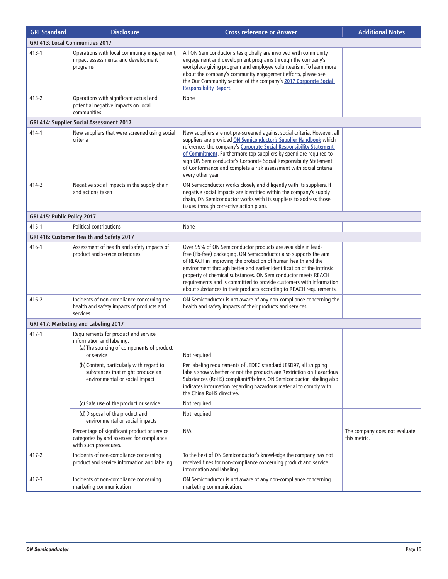| <b>GRI Standard</b>                  | <b>Disclosure</b>                                                                                                            | <b>Cross reference or Answer</b>                                                                                                                                                                                                                                                                                                                                                                                                                                                          | <b>Additional Notes</b>                       |  |  |  |  |
|--------------------------------------|------------------------------------------------------------------------------------------------------------------------------|-------------------------------------------------------------------------------------------------------------------------------------------------------------------------------------------------------------------------------------------------------------------------------------------------------------------------------------------------------------------------------------------------------------------------------------------------------------------------------------------|-----------------------------------------------|--|--|--|--|
|                                      | <b>GRI 413: Local Communities 2017</b>                                                                                       |                                                                                                                                                                                                                                                                                                                                                                                                                                                                                           |                                               |  |  |  |  |
| $413 - 1$                            | Operations with local community engagement,<br>impact assessments, and development<br>programs                               | All ON Semiconductor sites globally are involved with community<br>engagement and development programs through the company's<br>workplace giving program and employee volunteerism. To learn more<br>about the company's community engagement efforts, please see<br>the Our Community section of the company's 2017 Corporate Social<br><b>Responsibility Report.</b>                                                                                                                    |                                               |  |  |  |  |
| $413 - 2$                            | Operations with significant actual and<br>potential negative impacts on local<br>communities                                 | None                                                                                                                                                                                                                                                                                                                                                                                                                                                                                      |                                               |  |  |  |  |
|                                      | GRI 414: Supplier Social Assessment 2017                                                                                     |                                                                                                                                                                                                                                                                                                                                                                                                                                                                                           |                                               |  |  |  |  |
| 414-1                                | New suppliers that were screened using social<br>criteria                                                                    | New suppliers are not pre-screened against social criteria. However, all<br>suppliers are provided ON Semiconductor's Supplier Handbook which<br>references the company's Corporate Social Responsibility Statement<br>of Commitment. Furthermore top suppliers by spend are required to<br>sign ON Semiconductor's Corporate Social Responsibility Statement<br>of Conformance and complete a risk assessment with social criteria<br>every other year.                                  |                                               |  |  |  |  |
| 414-2                                | Negative social impacts in the supply chain<br>and actions taken                                                             | ON Semiconductor works closely and diligently with its suppliers. If<br>negative social impacts are identified within the company's supply<br>chain, ON Semiconductor works with its suppliers to address those<br>issues through corrective action plans.                                                                                                                                                                                                                                |                                               |  |  |  |  |
| GRI 415: Public Policy 2017          |                                                                                                                              |                                                                                                                                                                                                                                                                                                                                                                                                                                                                                           |                                               |  |  |  |  |
| $415 - 1$                            | Political contributions                                                                                                      | None                                                                                                                                                                                                                                                                                                                                                                                                                                                                                      |                                               |  |  |  |  |
|                                      | GRI 416: Customer Health and Safety 2017                                                                                     |                                                                                                                                                                                                                                                                                                                                                                                                                                                                                           |                                               |  |  |  |  |
| 416-1                                | Assessment of health and safety impacts of<br>product and service categories                                                 | Over 95% of ON Semiconductor products are available in lead-<br>free (Pb-free) packaging. ON Semiconductor also supports the aim<br>of REACH in improving the protection of human health and the<br>environment through better and earlier identification of the intrinsic<br>property of chemical substances. ON Semiconductor meets REACH<br>requirements and is committed to provide customers with information<br>about substances in their products according to REACH requirements. |                                               |  |  |  |  |
| $416 - 2$                            | Incidents of non-compliance concerning the<br>health and safety impacts of products and<br>services                          | ON Semiconductor is not aware of any non-compliance concerning the<br>health and safety impacts of their products and services.                                                                                                                                                                                                                                                                                                                                                           |                                               |  |  |  |  |
| GRI 417: Marketing and Labeling 2017 |                                                                                                                              |                                                                                                                                                                                                                                                                                                                                                                                                                                                                                           |                                               |  |  |  |  |
| $417 - 1$                            | Requirements for product and service<br>information and labeling:<br>(a) The sourcing of components of product<br>or service | Not required                                                                                                                                                                                                                                                                                                                                                                                                                                                                              |                                               |  |  |  |  |
|                                      | (b) Content, particularly with regard to<br>substances that might produce an<br>environmental or social impact               | Per labeling requirements of JEDEC standard JESD97, all shipping<br>labels show whether or not the products are Restriction on Hazardous<br>Substances (RoHS) compliant/Pb-free. ON Semiconductor labeling also<br>indicates information regarding hazardous material to comply with<br>the China RoHS directive.                                                                                                                                                                         |                                               |  |  |  |  |
|                                      | (c) Safe use of the product or service                                                                                       | Not required                                                                                                                                                                                                                                                                                                                                                                                                                                                                              |                                               |  |  |  |  |
|                                      | (d) Disposal of the product and<br>environmental or social impacts                                                           | Not required                                                                                                                                                                                                                                                                                                                                                                                                                                                                              |                                               |  |  |  |  |
|                                      | Percentage of significant product or service<br>categories by and assessed for compliance<br>with such procedures.           | N/A                                                                                                                                                                                                                                                                                                                                                                                                                                                                                       | The company does not evaluate<br>this metric. |  |  |  |  |
| $417 - 2$                            | Incidents of non-compliance concerning<br>product and service information and labeling                                       | To the best of ON Semiconductor's knowledge the company has not<br>received fines for non-compliance concerning product and service<br>information and labeling.                                                                                                                                                                                                                                                                                                                          |                                               |  |  |  |  |
| 417-3                                | Incidents of non-compliance concerning<br>marketing communication                                                            | ON Semiconductor is not aware of any non-compliance concerning<br>marketing communication.                                                                                                                                                                                                                                                                                                                                                                                                |                                               |  |  |  |  |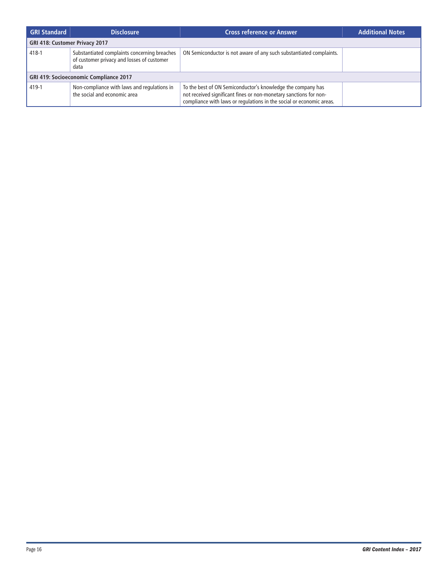| <b>GRI Standard</b>                           | <b>Disclosure</b>                                                                                  | <b>Cross reference or Answer</b>                                                                                                                                                                         | <b>Additional Notes</b> |  |  |  |
|-----------------------------------------------|----------------------------------------------------------------------------------------------------|----------------------------------------------------------------------------------------------------------------------------------------------------------------------------------------------------------|-------------------------|--|--|--|
| GRI 418: Customer Privacy 2017                |                                                                                                    |                                                                                                                                                                                                          |                         |  |  |  |
| 418-1                                         | Substantiated complaints concerning breaches<br>of customer privacy and losses of customer<br>data | ON Semiconductor is not aware of any such substantiated complaints.                                                                                                                                      |                         |  |  |  |
| <b>GRI 419: Socioeconomic Compliance 2017</b> |                                                                                                    |                                                                                                                                                                                                          |                         |  |  |  |
| 419-1                                         | Non-compliance with laws and regulations in<br>the social and economic area                        | To the best of ON Semiconductor's knowledge the company has<br>not received significant fines or non-monetary sanctions for non-<br>compliance with laws or regulations in the social or economic areas. |                         |  |  |  |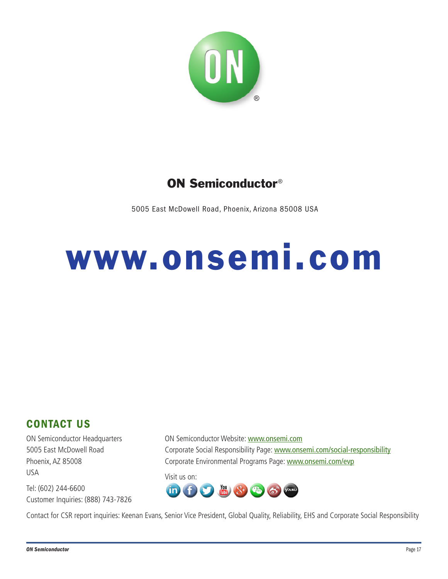

## ON Semiconductor®

5005 East McDowell Road, Phoenix, Arizona 85008 USA

## www.onsemi.com

### CONTACT US

ON Semiconductor Headquarters 5005 East McDowell Road Phoenix, AZ 85008 USA

Tel: (602) 244-6600 Customer Inquiries: (888) 743-7826 ON Semiconductor Website: www.onsemi.com Corporate Social Responsibility Page: www.onsemi.com/social-responsibility Corporate Environmental Programs Page: www.onsemi.com/evp

Visit us on:



Contact for CSR report inquiries: Keenan Evans, Senior Vice President, Global Quality, Reliability, EHS and Corporate Social Responsibility